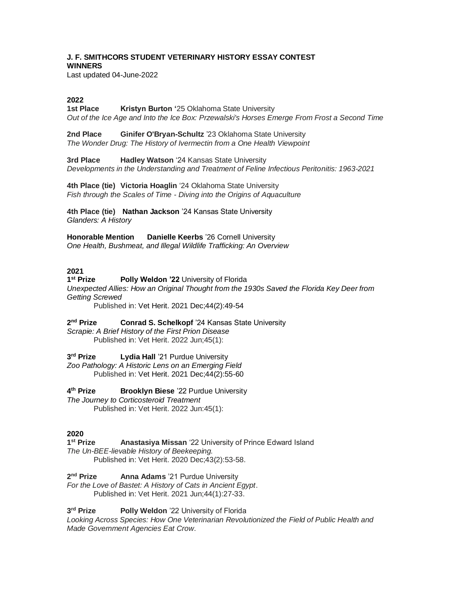# **J. F. SMITHCORS STUDENT VETERINARY HISTORY ESSAY CONTEST WINNERS**

Last updated 04-June-2022

# **2022**

**1st Place Kristyn Burton '**25 Oklahoma State University *Out of the Ice Age and Into the Ice Box: Przewalski's Horses Emerge From Frost a Second Time* 

**2nd Place Ginifer O'Bryan-Schultz** '23 Oklahoma State University *The Wonder Drug: The History of Ivermectin from a One Health Viewpoint*

**3rd Place Hadley Watson** '24 Kansas State University *Developments in the Understanding and Treatment of Feline Infectious Peritonitis: 1963-2021* 

**4th Place (tie) Victoria Hoaglin** '24 Oklahoma State University *Fish through the Scales of Time - Diving into the Origins of Aquaculture*

**4th Place (tie) Nathan Jackson** '24 Kansas State University *Glanders: A History*

**Honorable Mention Danielle Keerbs** '26 Cornell University *One Health, Bushmeat, and Illegal Wildlife Trafficking: An Overview*

# **2021**

1<sup>st</sup> Prize **Polly Weldon '22 University of Florida** *Unexpected Allies: How an Original Thought from the 1930s Saved the Florida Key Deer from Getting Screwed*

Published in: Vet Herit. 2021 Dec;44(2):49-54

2<sup>nd</sup> Prize **Conrad S. Schelkopf** '24 Kansas State University

*Scrapie: A Brief History of the First Prion Disease* Published in: Vet Herit. 2022 Jun;45(1):

3<sup>rd</sup> Prize **Lydia Hall** '21 Purdue University *Zoo Pathology: A Historic Lens on an Emerging Field*

Published in: Vet Herit. 2021 Dec;44(2):55-60

4<sup>th</sup> Prize **Brooklyn Biese** '22 Purdue University

*The Journey to Corticosteroid Treatment* Published in: Vet Herit. 2022 Jun:45(1):

# **2020**

1<sup>st</sup> Prize **Anastasiya Missan** '22 University of Prince Edward Island *The Un-BEE-lievable History of Beekeeping.* 

Published in: Vet Herit. 2020 Dec;43(2):53-58.

2<sup>nd</sup> Prize **Anna Adams** '21 Purdue University

*For the Love of Bastet: A History of Cats in Ancient Egypt*. Published in: Vet Herit. 2021 Jun;44(1):27-33.

3<sup>rd</sup> Prize **Polly Weldon** '22 University of Florida

*Looking Across Species: How One Veterinarian Revolutionized the Field of Public Health and Made Government Agencies Eat Crow*.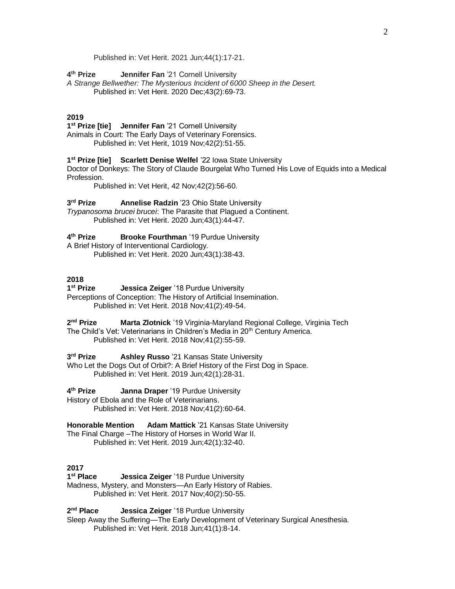Published in: Vet Herit. 2021 Jun;44(1):17-21.

4<sup>th</sup> Prize **Jennifer Fan** '21 Cornell University

*A Strange Bellwether: The Mysterious Incident of 6000 Sheep in the Desert.* Published in: Vet Herit. 2020 Dec;43(2):69-73.

# **2019**

**1 st Prize [tie] Jennifer Fan** '21 Cornell University Animals in Court: The Early Days of Veterinary Forensics. Published in: Vet Herit, 1019 Nov;42(2):51-55.

**1 st Prize [tie] Scarlett Denise Welfel** '22 Iowa State University

Doctor of Donkeys: The Story of Claude Bourgelat Who Turned His Love of Equids into a Medical Profession.

Published in: Vet Herit, 42 Nov;42(2):56-60.

3<sup>rd</sup> Prize **Annelise Radzin** '23 Ohio State University *Trypanosoma brucei brucei*: The Parasite that Plagued a Continent.

Published in: Vet Herit. 2020 Jun;43(1):44-47.

#### 4<sup>th</sup> Prize **Brooke Fourthman** '19 Purdue University

A Brief History of Interventional Cardiology. Published in: Vet Herit. 2020 Jun;43(1):38-43.

# **2018**

1<sup>st</sup> Prize **Jessica Zeiger** '18 Purdue University Perceptions of Conception: The History of Artificial Insemination. Published in: Vet Herit. 2018 Nov;41(2):49-54.

2<sup>nd</sup> Prize **Marta Zlotnick** '19 Virginia-Maryland Regional College, Virginia Tech The Child's Vet: Veterinarians in Children's Media in 20<sup>th</sup> Century America. Published in: Vet Herit. 2018 Nov;41(2):55-59.

3<sup>rd</sup> Prize **Ashley Russo** '21 Kansas State University

Who Let the Dogs Out of Orbit?: A Brief History of the First Dog in Space. Published in: Vet Herit. 2019 Jun;42(1):28-31.

4<sup>th</sup> Prize **Janna Draper** '19 Purdue University History of Ebola and the Role of Veterinarians. Published in: Vet Herit. 2018 Nov;41(2):60-64.

**Honorable Mention Adam Mattick** '21 Kansas State University The Final Charge –The History of Horses in World War II. Published in: Vet Herit. 2019 Jun;42(1):32-40.

# **2017**

1<sup>st</sup> Place **Jessica Zeiger** '18 Purdue University Madness, Mystery, and Monsters—An Early History of Rabies. Published in: Vet Herit. 2017 Nov;40(2):50-55.

2<sup>nd</sup> Place **Jessica Zeiger** '18 Purdue University

Sleep Away the Suffering—The Early Development of Veterinary Surgical Anesthesia. Published in: Vet Herit. 2018 Jun;41(1):8-14.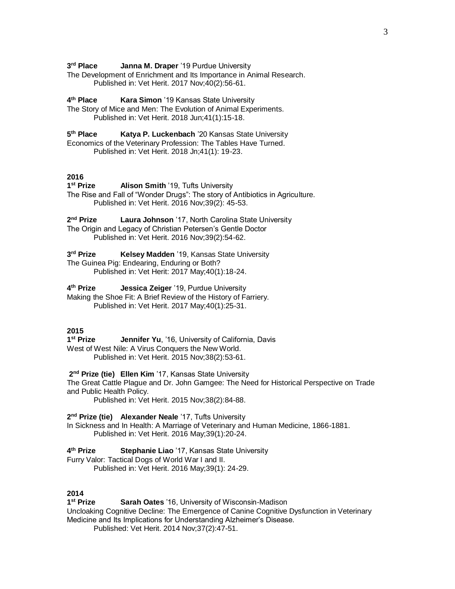3<sup>rd</sup> Place **Janna M. Draper** '19 Purdue University

The Development of Enrichment and Its Importance in Animal Research. Published in: Vet Herit. 2017 Nov;40(2):56-61.

4<sup>th</sup> Place **Kara Simon** '19 Kansas State University

The Story of Mice and Men: The Evolution of Animal Experiments. Published in: Vet Herit. 2018 Jun;41(1):15-18.

5<sup>th</sup> Place **Katya P. Luckenbach** '20 Kansas State University Economics of the Veterinary Profession: The Tables Have Turned.

Published in: Vet Herit. 2018 Jn;41(1): 19-23.

# **2016**

1<sup>st</sup> Prize **Alison Smith** '19, Tufts University The Rise and Fall of "Wonder Drugs": The story of Antibiotics in Agriculture. Published in: Vet Herit. 2016 Nov;39(2): 45-53.

2<sup>nd</sup> Prize **Laura Johnson** '17, North Carolina State University The Origin and Legacy of Christian Petersen's Gentle Doctor Published in: Vet Herit. 2016 Nov;39(2):54-62.

3<sup>rd</sup> Prize **Kelsey Madden** '19, Kansas State University The Guinea Pig: Endearing, Enduring or Both? Published in: Vet Herit: 2017 May;40(1):18-24.

4<sup>th</sup> Prize **Jessica Zeiger** '19, Purdue University Making the Shoe Fit: A Brief Review of the History of Farriery. Published in: Vet Herit. 2017 May;40(1):25-31.

# **2015**

1<sup>st</sup> Prize **Jennifer Yu, '16, University of California, Davis** West of West Nile: A Virus Conquers the New World. Published in: Vet Herit. 2015 Nov;38(2):53-61.

**2 nd Prize (tie) Ellen Kim** '17, Kansas State University The Great Cattle Plague and Dr. John Gamgee: The Need for Historical Perspective on Trade and Public Health Policy.

Published in: Vet Herit. 2015 Nov;38(2):84-88.

**2 nd Prize (tie) Alexander Neale** '17, Tufts University In Sickness and In Health: A Marriage of Veterinary and Human Medicine, 1866-1881. Published in: Vet Herit. 2016 May;39(1):20-24.

4<sup>th</sup> Prize **Stephanie Liao** '17, Kansas State University

Furry Valor: Tactical Dogs of World War I and II.

Published in: Vet Herit. 2016 May;39(1): 24-29.

# **2014**

1<sup>st</sup> Prize **Sarah Oates** '16, University of Wisconsin-Madison Uncloaking Cognitive Decline: The Emergence of Canine Cognitive Dysfunction in Veterinary Medicine and Its Implications for Understanding Alzheimer's Disease. Published: Vet Herit. 2014 Nov;37(2):47-51.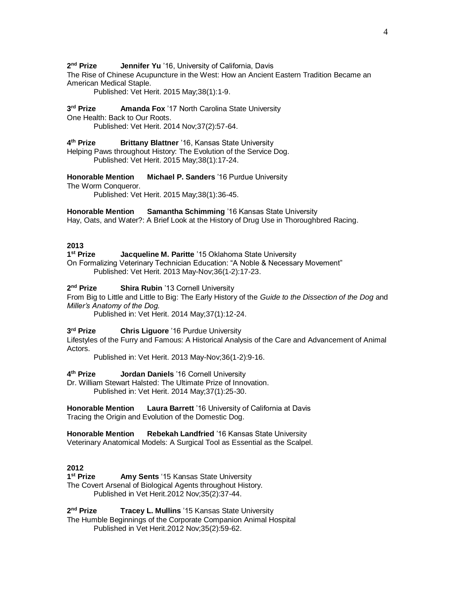2<sup>nd</sup> Prize **Jennifer Yu** '16, University of California, Davis

The Rise of Chinese Acupuncture in the West: How an Ancient Eastern Tradition Became an American Medical Staple.

Published: Vet Herit. 2015 May;38(1):1-9.

3rd Prize **Amanda Fox** '17 North Carolina State University

One Health: Back to Our Roots.

Published: Vet Herit. 2014 Nov;37(2):57-64.

#### 4<sup>th</sup> Prize **Brittany Blattner** '16, Kansas State University

Helping Paws throughout History: The Evolution of the Service Dog. Published: Vet Herit. 2015 May;38(1):17-24.

**Honorable Mention Michael P. Sanders** '16 Purdue University The Worm Conqueror.

Published: Vet Herit. 2015 May;38(1):36-45.

#### **Honorable Mention Samantha Schimming** '16 Kansas State University

Hay, Oats, and Water?: A Brief Look at the History of Drug Use in Thoroughbred Racing.

## **2013**

1<sup>st</sup> Prize **Jacqueline M. Paritte** '15 Oklahoma State University On Formalizing Veterinary Technician Education: "A Noble & Necessary Movement"

Published: Vet Herit. 2013 May-Nov;36(1-2):17-23.

2<sup>nd</sup> Prize **Shira Rubin** '13 Cornell University

From Big to Little and Little to Big: The Early History of the *Guide to the Dissection of the Dog* and *Miller's Anatomy of the Dog.*

Published in: Vet Herit. 2014 May;37(1):12-24.

3<sup>rd</sup> Prize **Chris Liguore** '16 Purdue University

Lifestyles of the Furry and Famous: A Historical Analysis of the Care and Advancement of Animal Actors.

Published in: Vet Herit. 2013 May-Nov;36(1-2):9-16.

4<sup>th</sup> Prize **Jordan Daniels** '16 Cornell University

Dr. William Stewart Halsted: The Ultimate Prize of Innovation. Published in: Vet Herit. 2014 May;37(1):25-30.

**Honorable Mention Laura Barrett** '16 University of California at Davis Tracing the Origin and Evolution of the Domestic Dog.

**Honorable Mention Rebekah Landfried** '16 Kansas State University Veterinary Anatomical Models: A Surgical Tool as Essential as the Scalpel.

# **2012**

1<sup>st</sup> Prize **Amy Sents** '15 Kansas State University The Covert Arsenal of Biological Agents throughout History. Published in Vet Herit.2012 Nov;35(2):37-44.

2<sup>nd</sup> Prize **Tracey L. Mullins** '15 Kansas State University The Humble Beginnings of the Corporate Companion Animal Hospital Published in Vet Herit.2012 Nov;35(2):59-62.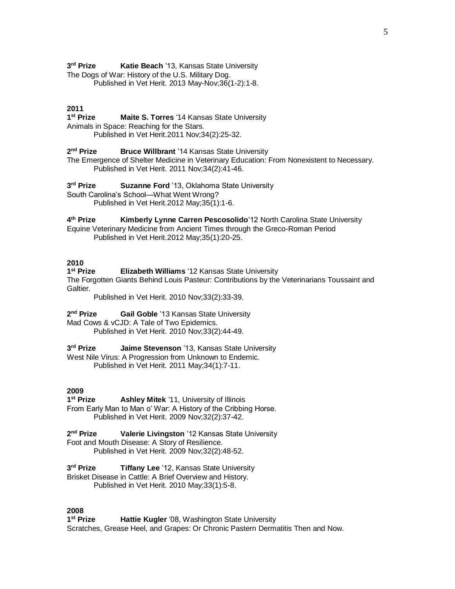3<sup>rd</sup> Prize **Katie Beach** '13, Kansas State University The Dogs of War: History of the U.S. Military Dog. Published in Vet Herit. 2013 May-Nov;36(1-2):1-8.

#### **2011**

1<sup>st</sup> Prize **Maite S. Torres** '14 Kansas State University Animals in Space: Reaching for the Stars. Published in Vet Herit.2011 Nov;34(2):25-32.

2<sup>nd</sup> Prize **Bruce Willbrant** '14 Kansas State University

The Emergence of Shelter Medicine in Veterinary Education: From Nonexistent to Necessary. Published in Vet Herit. 2011 Nov;34(2):41-46.

3rd Prize **Suzanne Ford** '13, Oklahoma State University South Carolina's School—What Went Wrong? Published in Vet Herit.2012 May;35(1):1-6.

4<sup>th</sup> Prize **Kimberly Lynne Carren Pescosolido**'12 North Carolina State University Equine Veterinary Medicine from Ancient Times through the Greco-Roman Period Published in Vet Herit.2012 May;35(1):20-25.

## **2010**

1<sup>st</sup> Prize **Elizabeth Williams** '12 Kansas State University The Forgotten Giants Behind Louis Pasteur: Contributions by the Veterinarians Toussaint and Galtier.

Published in Vet Herit. 2010 Nov;33(2):33-39.

2<sup>nd</sup> Prize **Gail Goble** '13 Kansas State University Mad Cows & vCJD: A Tale of Two Epidemics. Published in Vet Herit. 2010 Nov;33(2):44-49.

3<sup>rd</sup> Prize **Jaime Stevenson** '13, Kansas State University West Nile Virus: A Progression from Unknown to Endemic. Published in Vet Herit. 2011 May;34(1):7-11.

#### **2009**

1<sup>st</sup> Prize **Ashley Mitek** '11, University of Illinois From Early Man to Man o' War: A History of the Cribbing Horse. Published in Vet Herit. 2009 Nov;32(2):37-42.

2<sup>nd</sup> Prize **Valerie Livingston** '12 Kansas State University Foot and Mouth Disease: A Story of Resilience. Published in Vet Herit. 2009 Nov;32(2):48-52.

3<sup>rd</sup> Prize **Tiffany Lee** '12, Kansas State University Brisket Disease in Cattle: A Brief Overview and History. Published in Vet Herit. 2010 May;33(1):5-8.

## **2008**

1<sup>st</sup> Prize **Hattie Kugler** '08, Washington State University Scratches, Grease Heel, and Grapes: Or Chronic Pastern Dermatitis Then and Now.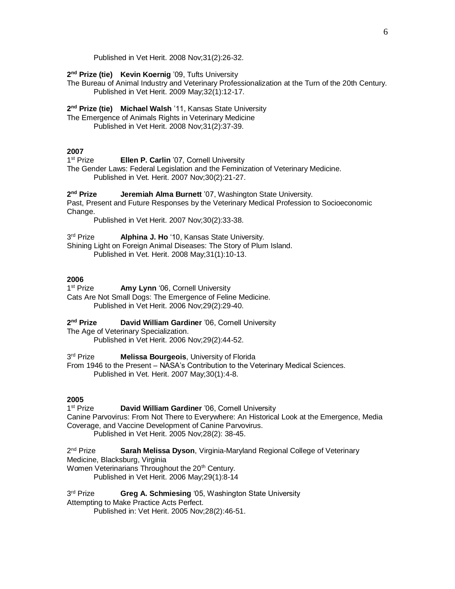Published in Vet Herit. 2008 Nov;31(2):26-32.

**2 nd Prize (tie) Kevin Koernig** '09, Tufts University

The Bureau of Animal Industry and Veterinary Professionalization at the Turn of the 20th Century. Published in Vet Herit. 2009 May;32(1):12-17.

**2 nd Prize (tie) Michael Walsh** '11, Kansas State University The Emergence of Animals Rights in Veterinary Medicine Published in Vet Herit. 2008 Nov;31(2):37-39.

## **2007**

1<sup>st</sup> Prize **Ellen P. Carlin** '07, Cornell University

The Gender Laws: Federal Legislation and the Feminization of Veterinary Medicine. Published in Vet. Herit. 2007 Nov;30(2):21-27.

2<sup>nd</sup> Prize **Jeremiah Alma Burnett** '07, Washington State University. Past, Present and Future Responses by the Veterinary Medical Profession to Socioeconomic Change.

Published in Vet Herit. 2007 Nov;30(2):33-38.

3rd Prize Alphina J. Ho '10, Kansas State University.

Shining Light on Foreign Animal Diseases: The Story of Plum Island.

Published in Vet. Herit. 2008 May;31(1):10-13.

# **2006**

1<sup>st</sup> Prize Amy Lynn '06, Cornell University Cats Are Not Small Dogs: The Emergence of Feline Medicine. Published in Vet Herit. 2006 Nov;29(2):29-40.

2<sup>nd</sup> Prize **David William Gardiner** '06, Cornell University

The Age of Veterinary Specialization. Published in Vet Herit. 2006 Nov;29(2):44-52.

3rd Prize **Melissa Bourgeois, University of Florida** 

From 1946 to the Present – NASA's Contribution to the Veterinary Medical Sciences. Published in Vet. Herit. 2007 May;30(1):4-8.

# **2005**

1<sup>st</sup> Prize **David William Gardiner** '06, Cornell University Canine Parvovirus: From Not There to Everywhere: An Historical Look at the Emergence, Media Coverage, and Vaccine Development of Canine Parvovirus. Published in Vet Herit. 2005 Nov;28(2): 38-45.

2<sup>nd</sup> Prize **Sarah Melissa Dyson, Virginia-Maryland Regional College of Veterinary** Medicine, Blacksburg, Virginia Women Veterinarians Throughout the 20<sup>th</sup> Century.

Published in Vet Herit. 2006 May;29(1):8-14

3<sup>rd</sup> Prize **Greg A. Schmiesing '05, Washington State University** 

Attempting to Make Practice Acts Perfect.

Published in: Vet Herit. 2005 Nov;28(2):46-51.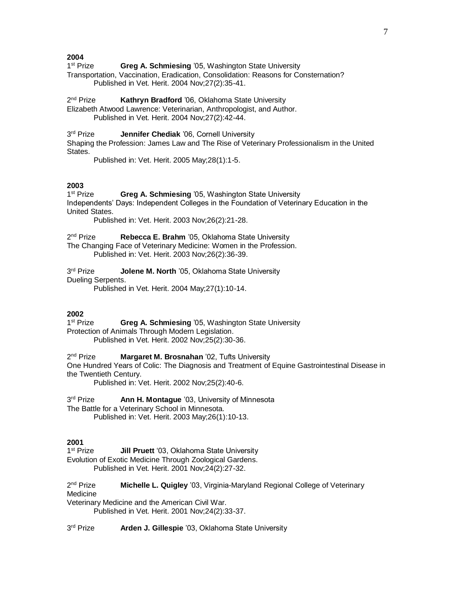**2004**

1<sup>st</sup> Prize **Greg A. Schmiesing '05, Washington State University** 

Transportation, Vaccination, Eradication, Consolidation: Reasons for Consternation? Published in Vet. Herit. 2004 Nov;27(2):35-41.

2<sup>nd</sup> Prize **Kathryn Bradford** '06, Oklahoma State University

Elizabeth Atwood Lawrence: Veterinarian, Anthropologist, and Author. Published in Vet. Herit. 2004 Nov;27(2):42-44.

3rd Prize Jennifer Chediak '06, Cornell University

Shaping the Profession: James Law and The Rise of Veterinary Professionalism in the United States.

Published in: Vet. Herit. 2005 May;28(1):1-5.

#### **2003**

1<sup>st</sup> Prize **Greg A. Schmiesing** '05, Washington State University Independents' Days: Independent Colleges in the Foundation of Veterinary Education in the United States.

Published in: Vet. Herit. 2003 Nov;26(2):21-28.

2<sup>nd</sup> Prize Rebecca E. Brahm '05, Oklahoma State University The Changing Face of Veterinary Medicine: Women in the Profession.

Published in: Vet. Herit. 2003 Nov;26(2):36-39.

3rd Prize **Jolene M. North** '05, Oklahoma State University Dueling Serpents.

Published in Vet. Herit. 2004 May;27(1):10-14.

#### **2002**

1<sup>st</sup> Prize **Greg A. Schmiesing '05, Washington State University** Protection of Animals Through Modern Legislation. Published in Vet. Herit. 2002 Nov;25(2):30-36.

2<sup>nd</sup> Prize **Margaret M. Brosnahan** '02, Tufts University

One Hundred Years of Colic: The Diagnosis and Treatment of Equine Gastrointestinal Disease in the Twentieth Century.

Published in: Vet. Herit. 2002 Nov;25(2):40-6.

3rd Prize **Ann H. Montague** '03, University of Minnesota The Battle for a Veterinary School in Minnesota.

Published in: Vet. Herit. 2003 May;26(1):10-13.

### **2001**

1<sup>st</sup> Prize **Jill Pruett** '03, Oklahoma State University Evolution of Exotic Medicine Through Zoological Gardens. Published in Vet. Herit. 2001 Nov;24(2):27-32.

2<sup>nd</sup> Prize **Michelle L. Quigley** '03, Virginia-Maryland Regional College of Veterinary **Medicine** 

Veterinary Medicine and the American Civil War. Published in Vet. Herit. 2001 Nov;24(2):33-37.

3rd Prize Arden J. Gillespie '03, Oklahoma State University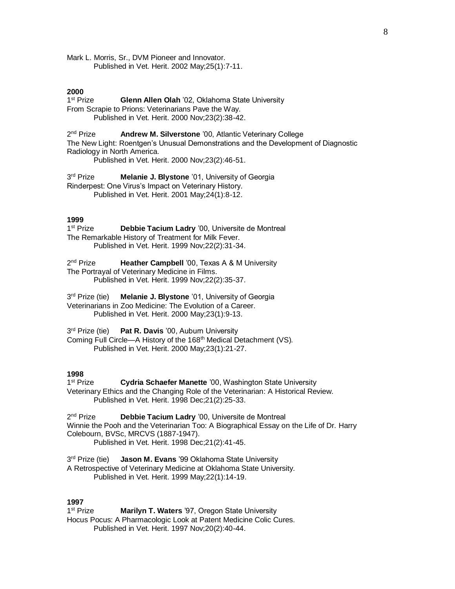Mark L. Morris, Sr., DVM Pioneer and Innovator. Published in Vet. Herit. 2002 May;25(1):7-11.

#### **2000**

1<sup>st</sup> Prize **Glenn Allen Olah** '02, Oklahoma State University From Scrapie to Prions: Veterinarians Pave the Way. Published in Vet. Herit. 2000 Nov;23(2):38-42.

 $2<sup>nd</sup> Prize$ Andrew M. Silverstone '00, Atlantic Veterinary College The New Light: Roentgen's Unusual Demonstrations and the Development of Diagnostic Radiology in North America.

Published in Vet. Herit. 2000 Nov;23(2):46-51.

3rd Prize **Melanie J. Blystone** '01, University of Georgia Rinderpest: One Virus's Impact on Veterinary History. Published in Vet. Herit. 2001 May;24(1):8-12.

#### **1999**

1<sup>st</sup> Prize Debbie Tacium Ladry '00, Universite de Montreal The Remarkable History of Treatment for Milk Fever. Published in Vet. Herit. 1999 Nov;22(2):31-34.

2<sup>nd</sup> Prize **Heather Campbell** '00, Texas A & M University The Portrayal of Veterinary Medicine in Films. Published in Vet. Herit. 1999 Nov;22(2):35-37.

3<sup>rd</sup> Prize (tie) **Melanie J. Blystone** '01, University of Georgia Veterinarians in Zoo Medicine: The Evolution of a Career. Published in Vet. Herit. 2000 May;23(1):9-13.

3<sup>rd</sup> Prize (tie) Pat R. Davis '00, Auburn University Coming Full Circle—A History of the 168<sup>th</sup> Medical Detachment (VS). Published in Vet. Herit. 2000 May;23(1):21-27.

## **1998**

1<sup>st</sup> Prize **Cydria Schaefer Manette '00, Washington State University** Veterinary Ethics and the Changing Role of the Veterinarian: A Historical Review. Published in Vet. Herit. 1998 Dec;21(2):25-33.

 $2<sup>nd</sup>$  Prize Debbie Tacium Ladry '00, Universite de Montreal Winnie the Pooh and the Veterinarian Too: A Biographical Essay on the Life of Dr. Harry Colebourn, BVSc, MRCVS (1887-1947).

Published in Vet. Herit. 1998 Dec;21(2):41-45.

3<sup>rd</sup> Prize (tie) **Jason M. Evans '99 Oklahoma State University** A Retrospective of Veterinary Medicine at Oklahoma State University. Published in Vet. Herit. 1999 May;22(1):14-19.

#### **1997**

1<sup>st</sup> Prize **Marilyn T. Waters '97, Oregon State University** Hocus Pocus: A Pharmacologic Look at Patent Medicine Colic Cures. Published in Vet. Herit. 1997 Nov;20(2):40-44.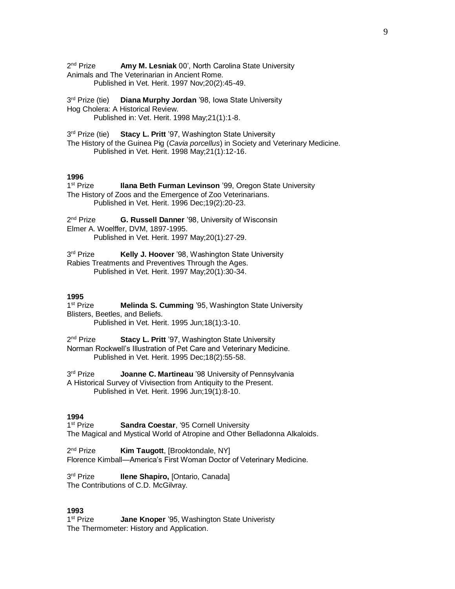$2<sup>nd</sup>$  Prize Amy M. Lesniak 00', North Carolina State University Animals and The Veterinarian in Ancient Rome. Published in Vet. Herit. 1997 Nov;20(2):45-49.

3<sup>rd</sup> Prize (tie) **Diana Murphy Jordan '98, Iowa State University** Hog Cholera: A Historical Review. Published in: Vet. Herit. 1998 May;21(1):1-8.

3rd Prize (tie) **Stacy L. Pritt** '97, Washington State University The History of the Guinea Pig (*Cavia porcellus*) in Society and Veterinary Medicine. Published in Vet. Herit. 1998 May;21(1):12-16.

# **1996**

1<sup>st</sup> Prize **Ilana Beth Furman Levinson '99, Oregon State University** The History of Zoos and the Emergence of Zoo Veterinarians. Published in Vet. Herit. 1996 Dec;19(2):20-23.

2<sup>nd</sup> Prize **G. Russell Danner** '98, University of Wisconsin Elmer A. Woelffer, DVM, 1897-1995. Published in Vet. Herit. 1997 May;20(1):27-29.

3rd Prize Kelly J. Hoover '98, Washington State University Rabies Treatments and Preventives Through the Ages. Published in Vet. Herit. 1997 May;20(1):30-34.

#### **1995**

1<sup>st</sup> Prize **Melinda S. Cumming** '95, Washington State University Blisters, Beetles, and Beliefs.

Published in Vet. Herit. 1995 Jun;18(1):3-10.

2<sup>nd</sup> Prize **Stacy L. Pritt** '97, Washington State University Norman Rockwell's Illustration of Pet Care and Veterinary Medicine. Published in Vet. Herit. 1995 Dec;18(2):55-58.

3rd Prize **Joanne C. Martineau** '98 University of Pennsylvania A Historical Survey of Vivisection from Antiquity to the Present. Published in Vet. Herit. 1996 Jun;19(1):8-10.

#### **1994**

1<sup>st</sup> Prize Sandra Coestar, '95 Cornell University The Magical and Mystical World of Atropine and Other Belladonna Alkaloids.

 $2<sup>nd</sup> Prize$ Kim Taugott, [Brooktondale, NY] Florence Kimball—America's First Woman Doctor of Veterinary Medicine.

3rd Prize **Ilene Shapiro, [Ontario, Canada]** The Contributions of C.D. McGilvray.

## **1993**

1<sup>st</sup> Prize Jane Knoper '95, Washington State Univeristy The Thermometer: History and Application.